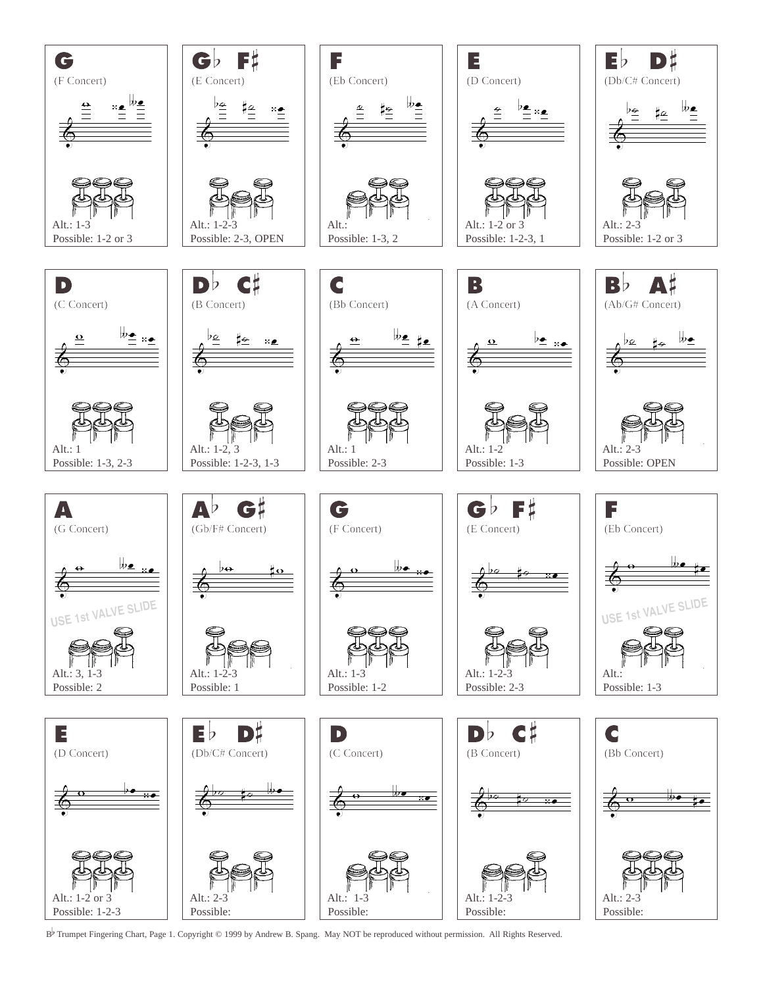

<sup>B</sup>b Trumpet Fingering Chart, Page 1. Copyright © 1999 by Andrew B. Spang. May NOT be reproduced without permission. All Rights Reserved.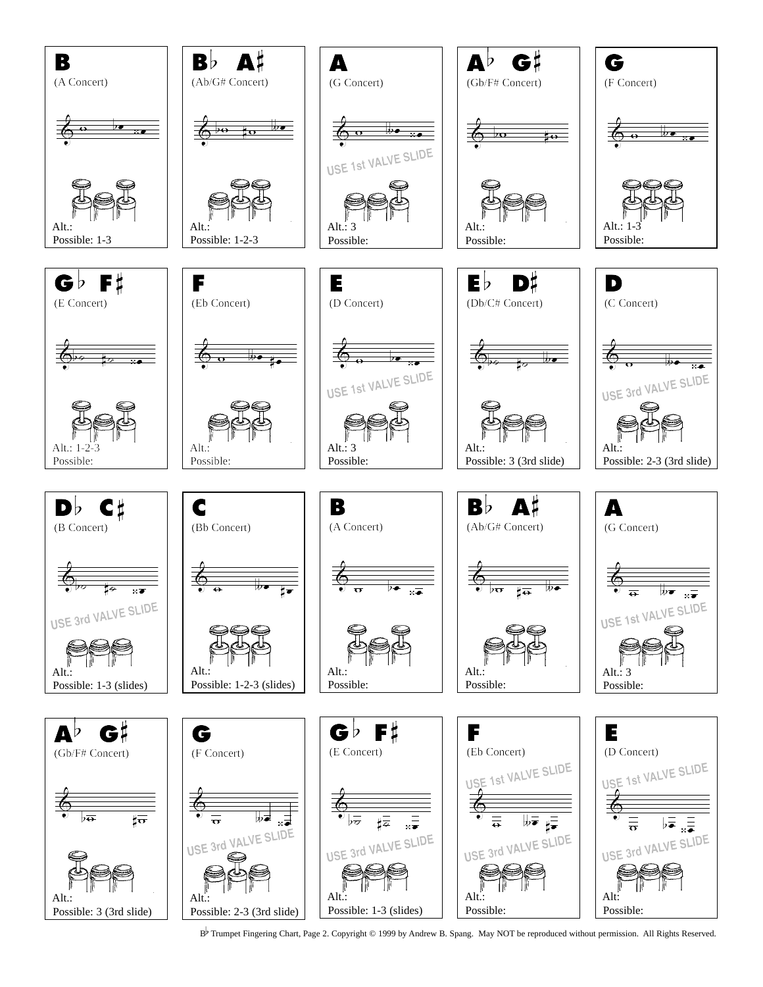

B<sup>b</sup> Trumpet Fingering Chart, Page 2. Copyright © 1999 by Andrew B. Spang. May NOT be reproduced without permission. All Rights Reserved.